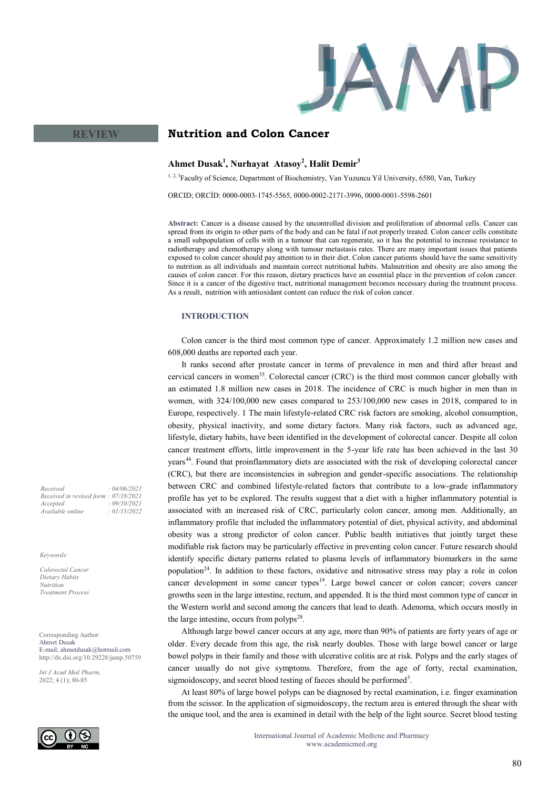

# **Nutrition and Colon Cancer**

## **Ahmet Dusak<sup>1</sup> , Nurhayat Atasoy<sup>2</sup> , Halit Demir<sup>3</sup>**

<sup>1, 2, 3</sup>Faculty of Science, Department of Biochemistry, Van Yuzuncu Yil University, 6580, Van, Turkey

ORCID; ORCİD: 0000-0003-1745-5565, 0000-0002-2171-3996, 0000-0001-5598-2601

**Abstract:** Cancer is a disease caused by the uncontrolled division and proliferation of abnormal cells. Cancer can spread from its origin to other parts of the body and can be fatal if not properly treated. Colon cancer cells constitute a small subpopulation of cells with in a tumour that can regenerate, so it has the potential to increase resistance to radiotherapy and chemotherapy along with tumour metastasis rates. There are many important issues that patients exposed to colon cancer should pay attention to in their diet. Colon cancer patients should have the same sensitivity to nutrition as all individuals and maintain correct nutritional habits. Malnutrition and obesity are also among the causes of colon cancer. For this reason, dietary practices have an essential place in the prevention of colon cancer. Since it is a cancer of the digestive tract, nutritional management becomes necessary during the treatment process. As a result, nutrition with antioxidant content can reduce the risk of colon cancer.

## **INTRODUCTION**

Colon cancer is the third most common type of cancer. Approximately 1.2 million new cases and 608,000 deaths are reported each year.

It ranks second after prostate cancer in terms of prevalence in men and third after breast and cervical cancers in women<sup>35</sup>. Colorectal cancer (CRC) is the third most common cancer globally with an estimated 1.8 million new cases in 2018. The incidence of CRC is much higher in men than in women, with 324/100,000 new cases compared to 253/100,000 new cases in 2018, compared to in Europe, respectively. 1 The main lifestyle-related CRC risk factors are smoking, alcohol consumption, obesity, physical inactivity, and some dietary factors. Many risk factors, such as advanced age, lifestyle, dietary habits, have been identified in the development of colorectal cancer. Despite all colon cancer treatment efforts, little improvement in the 5-year life rate has been achieved in the last 30 years<sup>44</sup>. Found that proinflammatory diets are associated with the risk of developing colorectal cancer (CRC), but there are inconsistencies in subregion and gender-specific associations. The relationship between CRC and combined lifestyle-related factors that contribute to a low-grade inflammatory profile has yet to be explored. The results suggest that a diet with a higher inflammatory potential is associated with an increased risk of CRC, particularly colon cancer, among men. Additionally, an inflammatory profile that included the inflammatory potential of diet, physical activity, and abdominal obesity was a strong predictor of colon cancer. Public health initiatives that jointly target these modifiable risk factors may be particularly effective in preventing colon cancer. Future research should identify specific dietary patterns related to plasma levels of inflammatory biomarkers in the same population<sup>24</sup>. In addition to these factors, oxidative and nitrosative stress may play a role in colon cancer development in some cancer types<sup>19</sup>. Large bowel cancer or colon cancer; covers cancer growths seen in the large intestine, rectum, and appended. It is the third most common type of cancer in the Western world and second among the cancers that lead to death. Adenoma, which occurs mostly in the large intestine, occurs from polyps $^{28}$ .

Although large bowel cancer occurs at any age, more than 90% of patients are forty years of age or older. Every decade from this age, the risk nearly doubles. Those with large bowel cancer or large bowel polyps in their family and those with ulcerative colitis are at risk. Polyps and the early stages of cancer usually do not give symptoms. Therefore, from the age of forty, rectal examination, sigmoidoscopy, and secret blood testing of faeces should be performed<sup>3</sup>.

At least 80% of large bowel polyps can be diagnosed by rectal examination, i.e. finger examination from the scissor. In the application of sigmoidoscopy, the rectum area is entered through the shear with the unique tool, and the area is examined in detail with the help of the light source. Secret blood testing

*Received : 04/06/2021 Received in revised form : 07/18/2021 Accepted : 09/10/2021 Available online : 01/15/2022*

**REVIEW**

*Keywords:*

*Colorectal Cancer Dietary Habits Nutrition Treatment Process* 

Corresponding Author: Ahmet Dusak E-mail; ahmetdusak@hotmail.com http://dx.doi.org/10.29228/jamp.50759

*Int J Acad Med Pharm,* 2022; 4 (1); 80-85

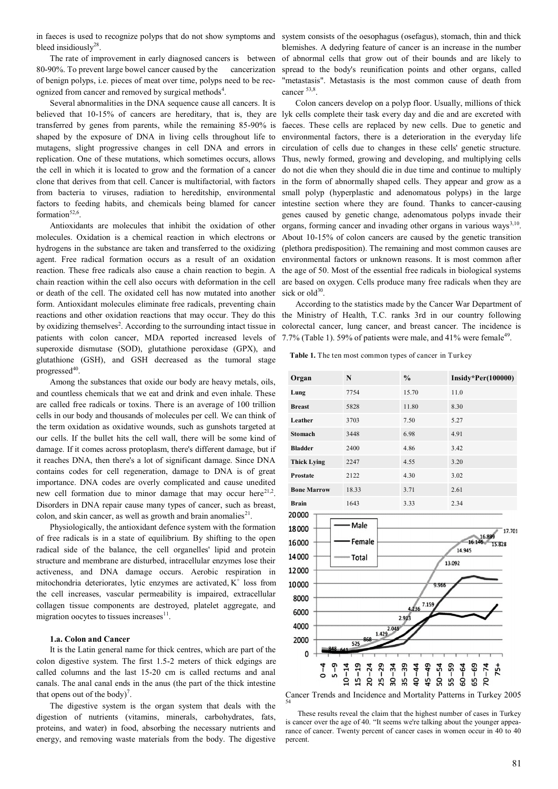in faeces is used to recognize polyps that do not show symptoms and system consists of the oesophagus (osefagus), stomach, thin and thick bleed insidiously $28$ .

The rate of improvement in early diagnosed cancers is between 80-90%. To prevent large bowel cancer caused by the cancerization of benign polyps, i.e. pieces of meat over time, polyps need to be recognized from cancer and removed by surgical methods<sup>4</sup>.

Several abnormalities in the DNA sequence cause all cancers. It is believed that 10-15% of cancers are hereditary, that is, they are transferred by genes from parents, while the remaining 85-90% is shaped by the exposure of DNA in living cells throughout life to mutagens, slight progressive changes in cell DNA and errors in replication. One of these mutations, which sometimes occurs, allows the cell in which it is located to grow and the formation of a cancer clone that derives from that cell. Cancer is multifactorial, with factors from bacteria to viruses, radiation to hereditship, environmental factors to feeding habits, and chemicals being blamed for cancer formation $52,6$ .

Antioxidants are molecules that inhibit the oxidation of other molecules. Oxidation is a chemical reaction in which electrons or hydrogens in the substance are taken and transferred to the oxidizing agent. Free radical formation occurs as a result of an oxidation reaction. These free radicals also cause a chain reaction to begin. A chain reaction within the cell also occurs with deformation in the cell or death of the cell. The oxidated cell has now mutated into another form. Antioxidant molecules eliminate free radicals, preventing chain reactions and other oxidation reactions that may occur. They do this by oxidizing themselves<sup>2</sup>. According to the surrounding intact tissue in patients with colon cancer, MDA reported increased levels of superoxide dismutase (SOD), glutathione peroxidase (GPX), and glutathione (GSH), and GSH decreased as the tumoral stage progressed<sup>40</sup>.

Among the substances that oxide our body are heavy metals, oils, and countless chemicals that we eat and drink and even inhale. These are called free radicals or toxins. There is an average of 100 trillion cells in our body and thousands of molecules per cell. We can think of the term oxidation as oxidative wounds, such as gunshots targeted at our cells. If the bullet hits the cell wall, there will be some kind of damage. If it comes across protoplasm, there's different damage, but if it reaches DNA, then there's a lot of significant damage. Since DNA contains codes for cell regeneration, damage to DNA is of great importance. DNA codes are overly complicated and cause unedited new cell formation due to minor damage that may occur here $^{21,2}$ . Disorders in DNA repair cause many types of cancer, such as breast, colon, and skin cancer, as well as growth and brain anomalies $2<sup>1</sup>$ .

Physiologically, the antioxidant defence system with the formation of free radicals is in a state of equilibrium. By shifting to the open radical side of the balance, the cell organelles' lipid and protein structure and membrane are disturbed, intracellular enzymes lose their activeness, and DNA damage occurs. Aerobic respiration in mitochondria deteriorates, lytic enzymes are activated,  $K^+$  loss from the cell increases, vascular permeability is impaired, extracellular collagen tissue components are destroyed, platelet aggregate, and migration oocytes to tissues increases<sup>11</sup>.

## **1.a. Colon and Cancer**

It is the Latin general name for thick centres, which are part of the colon digestive system. The first 1.5-2 meters of thick edgings are called columns and the last 15-20 cm is called rectums and anal canals. The anal canal ends in the anus (the part of the thick intestine that opens out of the body)<sup>7</sup>.

The digestive system is the organ system that deals with the digestion of nutrients (vitamins, minerals, carbohydrates, fats, proteins, and water) in food, absorbing the necessary nutrients and energy, and removing waste materials from the body. The digestive

blemishes. A dedyring feature of cancer is an increase in the number of abnormal cells that grow out of their bounds and are likely to spread to the body's reunification points and other organs, called "metastasis". Metastasis is the most common cause of death from cancer  $53,8$ .

Colon cancers develop on a polyp floor. Usually, millions of thick lyk cells complete their task every day and die and are excreted with faeces. These cells are replaced by new cells. Due to genetic and environmental factors, there is a deterioration in the everyday life circulation of cells due to changes in these cells' genetic structure. Thus, newly formed, growing and developing, and multiplying cells do not die when they should die in due time and continue to multiply in the form of abnormally shaped cells. They appear and grow as a small polyp (hyperplastic and adenomatous polyps) in the large intestine section where they are found. Thanks to cancer-causing genes caused by genetic change, adenomatous polyps invade their organs, forming cancer and invading other organs in various ways<sup>3,10</sup>. About 10-15% of colon cancers are caused by the genetic transition (plethora predisposition). The remaining and most common causes are environmental factors or unknown reasons. It is most common after the age of 50. Most of the essential free radicals in biological systems are based on oxygen. Cells produce many free radicals when they are sick or  $old^{30}$ .

According to the statistics made by the Cancer War Department of the Ministry of Health, T.C. ranks 3rd in our country following colorectal cancer, lung cancer, and breast cancer. The incidence is 7.7% (Table 1). 59% of patients were male, and 41% were female<sup>49</sup>.

Table 1. The ten most common types of cancer in Turkey



Cancer Trends and Incidence and Mortality Patterns in Turkey 2005 54

These results reveal the claim that the highest number of cases in Turkey is cancer over the age of 40. "It seems we're talking about the younger appearance of cancer. Twenty percent of cancer cases in women occur in 40 to 40 percent.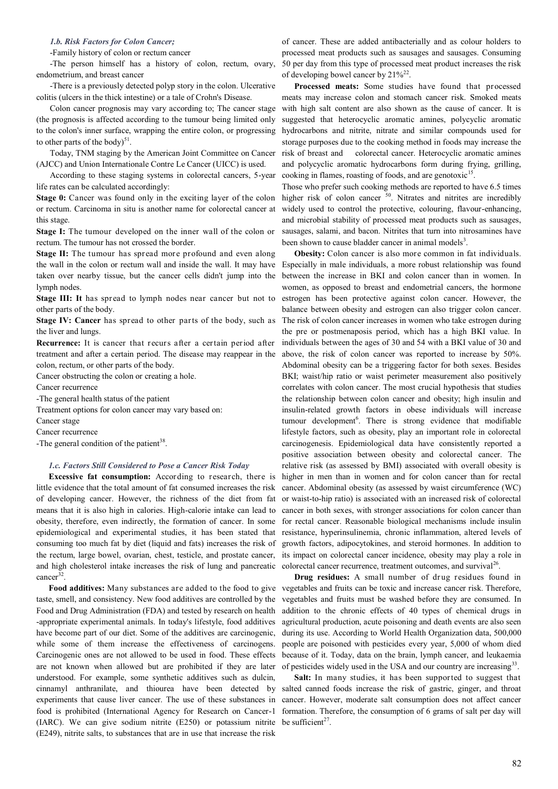### *1.b. Risk Factors for Colon Cancer;*

-Family history of colon or rectum cancer

-The person himself has a history of colon, rectum, ovary, endometrium, and breast cancer

-There is a previously detected polyp story in the colon. Ulcerative colitis (ulcers in the thick intestine) or a tale of Crohn's Disease.

Colon cancer prognosis may vary according to; The cancer stage (the prognosis is affected according to the tumour being limited only to the colon's inner surface, wrapping the entire colon, or progressing to other parts of the body) $51$ .

Today, TNM staging by the American Joint Committee on Cancer (AJCC) and Union Internationale Contre Le Cancer (UICC) is used.

According to these staging systems in colorectal cancers, 5-year life rates can be calculated accordingly:

**Stage 0:** Cancer was found only in the exciting layer of the colon or rectum. Carcinoma in situ is another name for colorectal cancer at this stage.

**Stage I:** The tumour developed on the inner wall of the colon or rectum. The tumour has not crossed the border.

**Stage II:** The tumour has spread more profound and even along taken over nearby tissue, but the cancer cells didn't jump into the lymph nodes.

**Stage III: It** has spread to lymph nodes near cancer but not to other parts of the body.

**Stage IV: Cancer** has spread to other parts of the body, such as the liver and lungs.

**Recurrence:** It is cancer that recurs after a certain period after treatment and after a certain period. The disease may reappear in the colon, rectum, or other parts of the body.

Cancer obstructing the colon or creating a hole.

Cancer recurrence

-The general health status of the patient

Treatment options for colon cancer may vary based on:

Cancer stage

Cancer recurrence

-The general condition of the patient<sup>38</sup>.

## *1.c. Factors Still Considered to Pose a Cancer Risk Today*

**Excessive fat consumption:** According to research, there is little evidence that the total amount of fat consumed increases the risk of developing cancer. However, the richness of the diet from fat means that it is also high in calories. High-calorie intake can lead to obesity, therefore, even indirectly, the formation of cancer. In some epidemiological and experimental studies, it has been stated that consuming too much fat by diet (liquid and fats) increases the risk of the rectum, large bowel, ovarian, chest, testicle, and prostate cancer, and high cholesterol intake increases the risk of lung and pancreatic cancer<sup>32</sup>.

**Food additives:** Many substances are added to the food to give taste, smell, and consistency. New food additives are controlled by the Food and Drug Administration (FDA) and tested by research on health -appropriate experimental animals. In today's lifestyle, food additives have become part of our diet. Some of the additives are carcinogenic, while some of them increase the effectiveness of carcinogens. Carcinogenic ones are not allowed to be used in food. These effects are not known when allowed but are prohibited if they are later understood. For example, some synthetic additives such as dulcin, cinnamyl anthranilate, and thiourea have been detected by experiments that cause liver cancer. The use of these substances in (IARC). We can give sodium nitrite (E250) or potassium nitrite be sufficient<sup>27</sup>. (E249), nitrite salts, to substances that are in use that increase the risk

of cancer. These are added antibacterially and as colour holders to processed meat products such as sausages and sausages. Consuming 50 per day from this type of processed meat product increases the risk of developing bowel cancer by  $21\%^{22}$ .

**Processed meats:** Some studies have found that processed meats may increase colon and stomach cancer risk. Smoked meats with high salt content are also shown as the cause of cancer. It is suggested that heterocyclic aromatic amines, polycyclic aromatic hydrocarbons and nitrite, nitrate and similar compounds used for storage purposes due to the cooking method in foods may increase the risk of breast and colorectal cancer. Heterocyclic aromatic amines and polycyclic aromatic hydrocarbons form during frying, grilling, cooking in flames, roasting of foods, and are genotoxic<sup>15</sup>.

Those who prefer such cooking methods are reported to have 6.5 times higher risk of colon cancer <sup>50</sup>. Nitrates and nitrites are incredibly widely used to control the protective, colouring, flavour-enhancing, and microbial stability of processed meat products such as sausages, sausages, salami, and bacon. Nitrites that turn into nitrosamines have been shown to cause bladder cancer in animal models<sup>3</sup>.

the wall in the colon or rectum wall and inside the wall. It may have Especially in male individuals, a more robust relationship was found **Obesity:** Colon cancer is also more common in fat individuals. between the increase in BKI and colon cancer than in women. In women, as opposed to breast and endometrial cancers, the hormone estrogen has been protective against colon cancer. However, the balance between obesity and estrogen can also trigger colon cancer. The risk of colon cancer increases in women who take estrogen during the pre or postmenaposis period, which has a high BKI value. In individuals between the ages of 30 and 54 with a BKI value of 30 and above, the risk of colon cancer was reported to increase by 50%. Abdominal obesity can be a triggering factor for both sexes. Besides BKI: waist/hip ratio or waist perimeter measurement also positively correlates with colon cancer. The most crucial hypothesis that studies the relationship between colon cancer and obesity; high insulin and insulin-related growth factors in obese individuals will increase tumour development<sup>6</sup>. There is strong evidence that modifiable lifestyle factors, such as obesity, play an important role in colorectal carcinogenesis. Epidemiological data have consistently reported a positive association between obesity and colorectal cancer. The relative risk (as assessed by BMI) associated with overall obesity is higher in men than in women and for colon cancer than for rectal cancer. Abdominal obesity (as assessed by waist circumference (WC) or waist-to-hip ratio) is associated with an increased risk of colorectal cancer in both sexes, with stronger associations for colon cancer than for rectal cancer. Reasonable biological mechanisms include insulin resistance, hyperinsulinemia, chronic inflammation, altered levels of growth factors, adipocytokines, and steroid hormones. In addition to its impact on colorectal cancer incidence, obesity may play a role in colorectal cancer recurrence, treatment outcomes, and survival<sup>26</sup>.

> **Drug residues:** A small number of drug residues found in vegetables and fruits can be toxic and increase cancer risk. Therefore, vegetables and fruits must be washed before they are consumed. In addition to the chronic effects of 40 types of chemical drugs in agricultural production, acute poisoning and death events are also seen during its use. According to World Health Organization data, 500,000 people are poisoned with pesticides every year, 5,000 of whom died because of it. Today, data on the brain, lymph cancer, and leukaemia of pesticides widely used in the USA and our country are increasing<sup>33</sup>.

food is prohibited (International Agency for Research on Cancer-1 formation. Therefore, the consumption of 6 grams of salt per day will **Salt:** In many studies, it has been supported to suggest that salted canned foods increase the risk of gastric, ginger, and throat cancer. However, moderate salt consumption does not affect cancer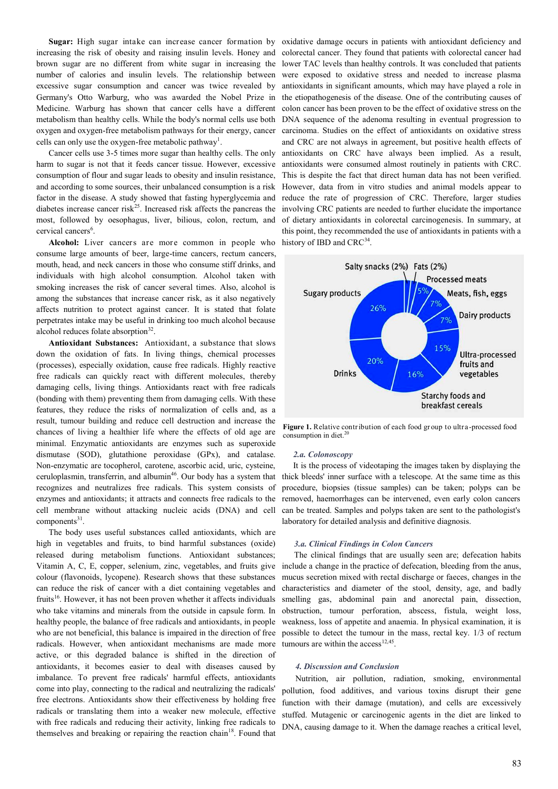increasing the risk of obesity and raising insulin levels. Honey and number of calories and insulin levels. The relationship between excessive sugar consumption and cancer was twice revealed by Germany's Otto Warburg, who was awarded the Nobel Prize in Medicine. Warburg has shown that cancer cells have a different metabolism than healthy cells. While the body's normal cells use both oxygen and oxygen-free metabolism pathways for their energy, cancer cells can only use the oxygen-free metabolic pathway<sup>1</sup>.

Cancer cells use 3-5 times more sugar than healthy cells. The only harm to sugar is not that it feeds cancer tissue. However, excessive consumption of flour and sugar leads to obesity and insulin resistance, and according to some sources, their unbalanced consumption is a risk factor in the disease. A study showed that fasting hyperglycemia and diabetes increase cancer risk<sup>25</sup>. Increased risk affects the pancreas the most, followed by oesophagus, liver, bilious, colon, rectum, and cervical cancers<sup>6</sup>.

**Alcohol:** Liver cancers are more common in people who consume large amounts of beer, large-time cancers, rectum cancers, mouth, head, and neck cancers in those who consume stiff drinks, and individuals with high alcohol consumption. Alcohol taken with smoking increases the risk of cancer several times. Also, alcohol is among the substances that increase cancer risk, as it also negatively affects nutrition to protect against cancer. It is stated that folate perpetrates intake may be useful in drinking too much alcohol because alcohol reduces folate absorption<sup>32</sup>.

**Antioxidant Substances:** Antioxidant, a substance that slows down the oxidation of fats. In living things, chemical processes (processes), especially oxidation, cause free radicals. Highly reactive free radicals can quickly react with different molecules, thereby damaging cells, living things. Antioxidants react with free radicals (bonding with them) preventing them from damaging cells. With these features, they reduce the risks of normalization of cells and, as a result, tumour building and reduce cell destruction and increase the chances of living a healthier life where the effects of old age are minimal. Enzymatic antioxidants are enzymes such as superoxide dismutase (SOD), glutathione peroxidase (GPx), and catalase. Non-enzymatic are tocopherol, carotene, ascorbic acid, uric, cysteine, ceruloplasmin, transferrin, and albumin<sup>46</sup>. Our body has a system that recognizes and neutralizes free radicals. This system consists of enzymes and antioxidants; it attracts and connects free radicals to the cell membrane without attacking nucleic acids (DNA) and cell components<sup>31</sup>.

The body uses useful substances called antioxidants, which are high in vegetables and fruits, to bind harmful substances (oxide) released during metabolism functions. Antioxidant substances; Vitamin A, C, E, copper, selenium, zinc, vegetables, and fruits give colour (flavonoids, lycopene). Research shows that these substances can reduce the risk of cancer with a diet containing vegetables and fruits<sup>16</sup>. However, it has not been proven whether it affects individuals who take vitamins and minerals from the outside in capsule form. In healthy people, the balance of free radicals and antioxidants, in people who are not beneficial, this balance is impaired in the direction of free radicals. However, when antioxidant mechanisms are made more active, or this degraded balance is shifted in the direction of antioxidants, it becomes easier to deal with diseases caused by imbalance. To prevent free radicals' harmful effects, antioxidants come into play, connecting to the radical and neutralizing the radicals' free electrons. Antioxidants show their effectiveness by holding free radicals or translating them into a weaker new molecule, effective with free radicals and reducing their activity, linking free radicals to themselves and breaking or repairing the reaction chain<sup>18</sup>. Found that

**Sugar:** High sugar intake can increase cancer formation by oxidative damage occurs in patients with antioxidant deficiency and brown sugar are no different from white sugar in increasing the lower TAC levels than healthy controls. It was concluded that patients colorectal cancer. They found that patients with colorectal cancer had were exposed to oxidative stress and needed to increase plasma antioxidants in significant amounts, which may have played a role in the etiopathogenesis of the disease. One of the contributing causes of colon cancer has been proven to be the effect of oxidative stress on the DNA sequence of the adenoma resulting in eventual progression to carcinoma. Studies on the effect of antioxidants on oxidative stress and CRC are not always in agreement, but positive health effects of antioxidants on CRC have always been implied. As a result, antioxidants were consumed almost routinely in patients with CRC. This is despite the fact that direct human data has not been verified. However, data from in vitro studies and animal models appear to reduce the rate of progression of CRC. Therefore, larger studies involving CRC patients are needed to further elucidate the importance of dietary antioxidants in colorectal carcinogenesis. In summary, at this point, they recommended the use of antioxidants in patients with a history of IBD and CRC<sup>34</sup>.



**Figure 1.** Relative contribution of each food gr oup to ultra -processed food consumption in diet.<sup>20</sup>

### *2.a. Colonoscopy*

It is the process of videotaping the images taken by displaying the thick bleeds' inner surface with a telescope. At the same time as this procedure, biopsies (tissue samples) can be taken; polyps can be removed, haemorrhages can be intervened, even early colon cancers can be treated. Samples and polyps taken are sent to the pathologist's laboratory for detailed analysis and definitive diagnosis.

#### *3.a. Clinical Findings in Colon Cancers*

The clinical findings that are usually seen are; defecation habits include a change in the practice of defecation, bleeding from the anus, mucus secretion mixed with rectal discharge or faeces, changes in the characteristics and diameter of the stool, density, age, and badly smelling gas, abdominal pain and anorectal pain, dissection, obstruction, tumour perforation, abscess, fistula, weight loss, weakness, loss of appetite and anaemia. In physical examination, it is possible to detect the tumour in the mass, rectal key. 1/3 of rectum tumours are within the  $access^{12,45}$ .

#### *4. Discussion and Conclusion*

Nutrition, air pollution, radiation, smoking, environmental pollution, food additives, and various toxins disrupt their gene function with their damage (mutation), and cells are excessively stuffed. Mutagenic or carcinogenic agents in the diet are linked to DNA, causing damage to it. When the damage reaches a critical level,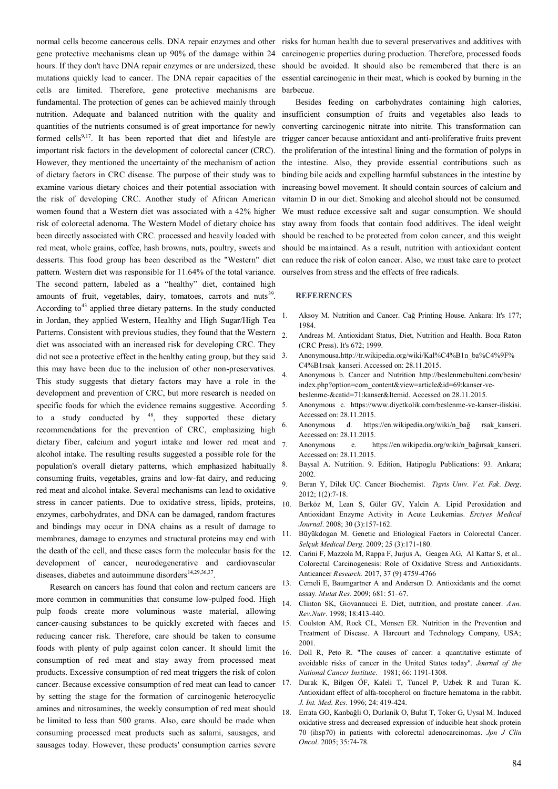normal cells become cancerous cells. DNA repair enzymes and other risks for human health due to several preservatives and additives with gene protective mechanisms clean up 90% of the damage within 24 hours. If they don't have DNA repair enzymes or are undersized, these mutations quickly lead to cancer. The DNA repair capacities of the cells are limited. Therefore, gene protective mechanisms are fundamental. The protection of genes can be achieved mainly through nutrition. Adequate and balanced nutrition with the quality and quantities of the nutrients consumed is of great importance for newly formed cells<sup>9,17</sup>. It has been reported that diet and lifestyle are important risk factors in the development of colorectal cancer (CRC). However, they mentioned the uncertainty of the mechanism of action of dietary factors in CRC disease. The purpose of their study was to examine various dietary choices and their potential association with the risk of developing CRC. Another study of African American women found that a Western diet was associated with a 42% higher risk of colorectal adenoma. The Western Model of dietary choice has been directly associated with CRC. processed and heavily loaded with red meat, whole grains, coffee, hash browns, nuts, poultry, sweets and desserts. This food group has been described as the "Western" diet pattern. Western diet was responsible for 11.64% of the total variance. The second pattern, labeled as a "healthy" diet, contained high amounts of fruit, vegetables, dairy, tomatoes, carrots and nuts<sup>39</sup>. According to<sup>43</sup> applied three dietary patterns. In the study conducted in Jordan, they applied Western, Healthy and High Sugar/High Tea Patterns. Consistent with previous studies, they found that the Western diet was associated with an increased risk for developing CRC. They did not see a protective effect in the healthy eating group, but they said <sup>3.</sup> this may have been due to the inclusion of other non-preservatives. This study suggests that dietary factors may have a role in the development and prevention of CRC, but more research is needed on specific foods for which the evidence remains suggestive. According 5. to a study conducted by  $48$ , they supported these dietary recommendations for the prevention of CRC, emphasizing high dietary fiber, calcium and yogurt intake and lower red meat and alcohol intake. The resulting results suggested a possible role for the population's overall dietary patterns, which emphasized habitually 8. consuming fruits, vegetables, grains and low-fat dairy, and reducing red meat and alcohol intake. Several mechanisms can lead to oxidative stress in cancer patients. Due to oxidative stress, lipids, proteins, enzymes, carbohydrates, and DNA can be damaged, random fractures and bindings may occur in DNA chains as a result of damage to membranes, damage to enzymes and structural proteins may end with the death of the cell, and these cases form the molecular basis for the  $_{12}$ . development of cancer, neurodegenerative and cardiovascular diseases, diabetes and autoimmune disorders $14,29,36,37$ .

Research on cancers has found that colon and rectum cancers are more common in communities that consume low-pulped food. High pulp foods create more voluminous waste material, allowing cancer-causing substances to be quickly excreted with faeces and 15. reducing cancer risk. Therefore, care should be taken to consume foods with plenty of pulp against colon cancer. It should limit the consumption of red meat and stay away from processed meat products. Excessive consumption of red meat triggers the risk of colon cancer. Because excessive consumption of red meat can lead to cancer by setting the stage for the formation of carcinogenic heterocyclic amines and nitrosamines, the weekly consumption of red meat should be limited to less than 500 grams. Also, care should be made when consuming processed meat products such as salami, sausages, and sausages today. However, these products' consumption carries severe

carcinogenic properties during production. Therefore, processed foods should be avoided. It should also be remembered that there is an essential carcinogenic in their meat, which is cooked by burning in the barbecue.

Besides feeding on carbohydrates containing high calories, insufficient consumption of fruits and vegetables also leads to converting carcinogenic nitrate into nitrite. This transformation can trigger cancer because antioxidant and anti-proliferative fruits prevent the proliferation of the intestinal lining and the formation of polyps in the intestine. Also, they provide essential contributions such as binding bile acids and expelling harmful substances in the intestine by increasing bowel movement. It should contain sources of calcium and vitamin D in our diet. Smoking and alcohol should not be consumed. We must reduce excessive salt and sugar consumption. We should stay away from foods that contain food additives. The ideal weight should be reached to be protected from colon cancer, and this weight should be maintained. As a result, nutrition with antioxidant content can reduce the risk of colon cancer. Also, we must take care to protect ourselves from stress and the effects of free radicals.

#### **REFERENCES**

- 1. Aksoy M. Nutrition and Cancer. Cağ Printing House. Ankara: It's 177; 1984.
- 2. Andreas M[. A](https://tr.wikipedia.org/wiki/1999)ntioxidant Status, Diet, Nutrition and Health. Boca Raton (CRC Press). It's 672; 1999.
- 3. Anonymousa.[http://tr.wikipedia.org/wiki/Kal%C4%B1n\\_ba%C4%9F%](http://tr.wikipedia.org/wiki/Kal%C4%B1n_ba%C4%9F%C4%B1rsak_kanseri) [C4%B1rsak\\_kanseri. A](http://tr.wikipedia.org/wiki/Kal%C4%B1n_ba%C4%9F%C4%B1rsak_kanseri)ccessed on: 28.11.2015.
- 4. Anonymous b. Cancer and Nutrition [http://beslenmebulteni.com/besin/](http://beslenmebulteni.com/besin/index.php?option=com_content&view=article&id=69:kanser-ve-beslenme-&catid=71:kanser&Itemid) [index.php?option=com\\_content&view=article&id=69:kanser](http://beslenmebulteni.com/besin/index.php?option=com_content&view=article&id=69:kanser-ve-beslenme-&catid=71:kanser&Itemid)-vebeslenme-[&catid=71:kanser&Itemid.](http://beslenmebulteni.com/besin/index.php?option=com_content&view=article&id=69:kanser-ve-beslenme-&catid=71:kanser&Itemid) Accessed on 28.11.2015.
- 5. Anonymous c. [https://www.diyetkolik.com/beslenme](https://www.diyetkolik.com/beslenme-ve-kanser-iliskisi.)-ve-kanser-iliskisi. Accessed on: 28.11.2015.
- 6. Anonymous d. https://en.wikipedia.org/wiki/n\_bağ rsak\_kanseri. Accessed on: 28.11.2015.
- 7. Anonymous e. https://en.wikipedia.org/wiki/n\_bağırsak\_kanseri. Accessed on: 28.11.2015.
- 8. Baysal A. Nutrition. 9. Edition, Hatipoglu Publications: 93. Ankara; 2002.
- 9. Beran Y, Dilek UÇ. Cancer Biochemist. *Tigris Univ. V et. Fak. Derg*. 2012; 1(2):7-18.
- 10. Berköz M, Lean S, Güler GV, Yalcin A. Lipid Peroxidation and Antioxidant Enzyme Activity in Acute Leukemias. *Erciyes Medical Journal*. 2008; 30 (3):157-162.
- 11. Büyükdogan M. Genetic and Etiological Factors in Colorectal Cancer. *Selçuk Medical Derg*. 2009; 25 (3):171-180.
- Carini F, Mazzola M, Rappa F, Jurjus A, Geagea AG, Al Kattar S, et al.. Colorectal Carcinogenesis: Role of Oxidative Stress and Antioxidants. Anticancer *Research.* 2017, 37 (9) 4759-4766
- 13. Cemeli E, Baumgartner A and Anderson D. Antioxidants and the comet assay. *Mutat Res.* 2009; 681: 51–67.
- 14. Clinton SK, Giovannucci E. Diet, nutrition, and prostate cancer. *Ann. Rev.Nutr.* 1998; 18:413-440.
- 15. Coulston AM, Rock CL, Monsen ER. Nutrition in the Prevention and Treatment of Disease. A Harcourt and Technology Company, USA; 2001.
- 16. Doll R, Peto R. "The causes of cancer: a quantitative estimate of avoidable risks of cancer in the United States today". *Journal of the National Cancer Institute*. 1981; 66: 1191-1308.
- 17. Durak K, Bilgen ÖF, Kaleli T, Tuncel P, Uzbek R and Turan K. Antioxidant effect of alfa-tocopherol on fracture hematoma in the rabbit. *J. Int. Med. Res.* 1996; 24: 419-424.
- 18. Errata GO, Kanbağli O, Durlanik O, Bulut T, Toker G, Uysal M. Induced oxidative stress and decreased expression of inducible heat shock protein 70 (ihsp70) in patients with colorectal adenocarcinomas. *Jpn J Clin Oncol*. 2005; 35:74-78.